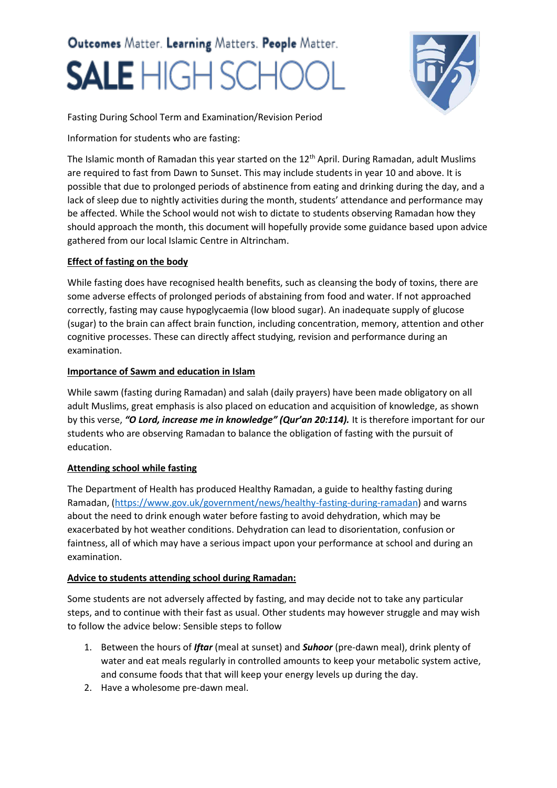# Outcomes Matter. Learning Matters. People Matter. **SALE** HIGH SCH



Fasting During School Term and Examination/Revision Period

Information for students who are fasting:

The Islamic month of Ramadan this year started on the  $12<sup>th</sup>$  April. During Ramadan, adult Muslims are required to fast from Dawn to Sunset. This may include students in year 10 and above. It is possible that due to prolonged periods of abstinence from eating and drinking during the day, and a lack of sleep due to nightly activities during the month, students' attendance and performance may be affected. While the School would not wish to dictate to students observing Ramadan how they should approach the month, this document will hopefully provide some guidance based upon advice gathered from our local Islamic Centre in Altrincham.

### **Effect of fasting on the body**

While fasting does have recognised health benefits, such as cleansing the body of toxins, there are some adverse effects of prolonged periods of abstaining from food and water. If not approached correctly, fasting may cause hypoglycaemia (low blood sugar). An inadequate supply of glucose (sugar) to the brain can affect brain function, including concentration, memory, attention and other cognitive processes. These can directly affect studying, revision and performance during an examination.

#### **Importance of Sawm and education in Islam**

While sawm (fasting during Ramadan) and salah (daily prayers) have been made obligatory on all adult Muslims, great emphasis is also placed on education and acquisition of knowledge, as shown by this verse, *"O Lord, increase me in knowledge" (Qur'an 20:114).* It is therefore important for our students who are observing Ramadan to balance the obligation of fasting with the pursuit of education.

# **Attending school while fasting**

The Department of Health has produced Healthy Ramadan, a guide to healthy fasting during Ramadan, [\(https://www.gov.uk/government/news/healthy-fasting-during-ramadan\)](https://urldefense.proofpoint.com/v2/url?u=https-3A__www.gov.uk_government_news_healthy-2Dfasting-2Dduring-2Dramadan&d=DwQGaQ&c=bMxC-A1upgdsx4J2OmDkk2Eep4PyO1BA6pjHrrW-ii0&r=KEypycmPYn8n7T_7Wt41QtD5YNYtkv5zseoELyr5lAo&m=hi6Ozx6GZECGTJNrLESilq7_WfiiLZg4NOLR9IJdwhA&s=ODuBq1Xy5KE3dpuv0jfIZZ6D11vsoCA8PCfnzsnWIGM&e=) and warns about the need to drink enough water before fasting to avoid dehydration, which may be exacerbated by hot weather conditions. Dehydration can lead to disorientation, confusion or faintness, all of which may have a serious impact upon your performance at school and during an examination.

# **Advice to students attending school during Ramadan:**

Some students are not adversely affected by fasting, and may decide not to take any particular steps, and to continue with their fast as usual. Other students may however struggle and may wish to follow the advice below: Sensible steps to follow

- 1. Between the hours of *Iftar* (meal at sunset) and *Suhoor* (pre-dawn meal), drink plenty of water and eat meals regularly in controlled amounts to keep your metabolic system active, and consume foods that that will keep your energy levels up during the day.
- 2. Have a wholesome pre-dawn meal.